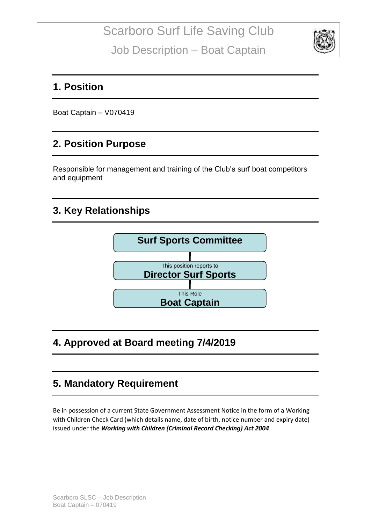

### **1. Position**

Boat Captain – V070419

## **2. Position Purpose**

Responsible for management and training of the Club's surf boat competitors and equipment

## **3. Key Relationships**



## **4. Approved at Board meeting 7/4/2019**

## **5. Mandatory Requirement**

Be in possession of a current State Government Assessment Notice in the form of a Working with Children Check Card (which details name, date of birth, notice number and expiry date) issued under the *Working with Children (Criminal Record Checking) Act 2004*.